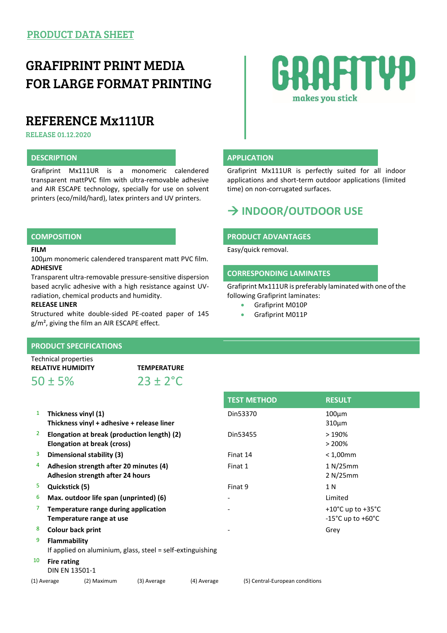## GRAFIPRINT PRINT MEDIA FOR LARGE FORMAT PRINTING

## REFERENCE Mx111UR

RELEASE 01.12.2020

Grafiprint Mx111UR is a monomeric calendered transparent mattPVC film with ultra-removable adhesive and AIR ESCAPE technology, specially for use on solvent printers (eco/mild/hard), latex printers and UV printers.

### **FILM**

100µm monomeric calendered transparent matt PVC film. **ADHESIVE**

Transparent ultra-removable pressure-sensitive dispersion based acrylic adhesive with a high resistance against UVradiation, chemical products and humidity.

## **RELEASE LINER**

Structured white double-sided PE-coated paper of 145 g/m², giving the film an AIR ESCAPE effect.

# GRAFITYP makes you stick

## **DESCRIPTION APPLICATION**

Grafiprint Mx111UR is perfectly suited for all indoor applications and short-term outdoor applications (limited time) on non-corrugated surfaces.

## **INDOOR/OUTDOOR USE**

## **COMPOSITION PRODUCT ADVANTAGES**

Easy/quick removal.

## **CORRESPONDING LAMINATES**

Grafiprint Mx111UR is preferably laminated with one of the following Grafiprint laminates:

Grafiprint M010P

**TEST METHOD RESULT**

Grafiprint M011P

### **PRODUCT SPECIFICATIONS**

Technical properties **RELATIVE HUMIDITY TEMPERATURE**

 $50 \pm 5\%$  23 ± 2°C

|             |                                                                            |                                                                  |                                             |             | <b>ILJI IVILINUD</b>            | RESULI                                                                           |  |
|-------------|----------------------------------------------------------------------------|------------------------------------------------------------------|---------------------------------------------|-------------|---------------------------------|----------------------------------------------------------------------------------|--|
| 1           | Thickness vinyl (1)<br>Thickness vinyl + adhesive + release liner          |                                                                  |                                             |             | Din53370                        | $100 \mu m$<br>$310 \mu m$                                                       |  |
| 2           |                                                                            | Elongation at break (cross)                                      | Elongation at break (production length) (2) |             | Din53455                        | >190%<br>$> 200\%$                                                               |  |
| 3           |                                                                            | Dimensional stability (3)                                        |                                             |             | Finat 14                        | $< 1,00$ mm                                                                      |  |
| 4           | Adhesion strength after 20 minutes (4)<br>Adhesion strength after 24 hours |                                                                  |                                             |             | Finat 1                         | 1 N/25 mm<br>2 N/25mm                                                            |  |
| 5.          | Quickstick (5)                                                             |                                                                  |                                             |             | Finat 9                         | 1 N                                                                              |  |
| 6           | Max. outdoor life span (unprinted) (6)                                     |                                                                  |                                             |             |                                 | Limited                                                                          |  |
|             |                                                                            | Temperature range during application<br>Temperature range at use |                                             |             |                                 | +10 $^{\circ}$ C up to +35 $^{\circ}$ C<br>$-15^{\circ}$ C up to $+60^{\circ}$ C |  |
| 8           | Colour back print                                                          |                                                                  |                                             |             |                                 | Grey                                                                             |  |
| 9           | Flammability<br>If applied on aluminium, glass, steel = self-extinguishing |                                                                  |                                             |             |                                 |                                                                                  |  |
| 10          | <b>Fire rating</b><br><b>DIN EN 13501-1</b>                                |                                                                  |                                             |             |                                 |                                                                                  |  |
| (1) Average |                                                                            | (2) Maximum                                                      | (3) Average                                 | (4) Average | (5) Central-European conditions |                                                                                  |  |
|             |                                                                            |                                                                  |                                             |             |                                 |                                                                                  |  |